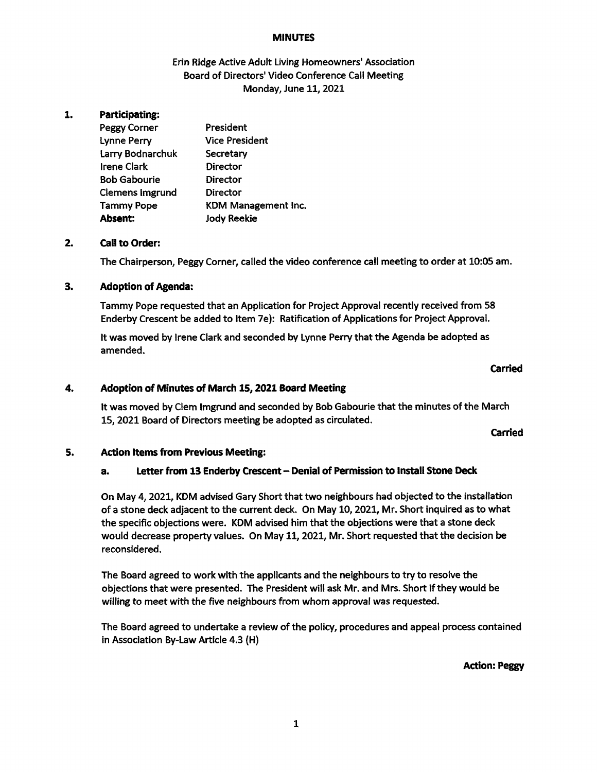### **MINUTES**

# Erin Ridge Active Adult Living Homeowners' Association Board of Directors' Video Conference Call Meeting Monday, June 11, 2021

#### 1. Participating:

| <b>Peggy Corner</b>    | President             |
|------------------------|-----------------------|
| <b>Lynne Perry</b>     | <b>Vice President</b> |
| Larry Bodnarchuk       | Secretary             |
| <b>Irene Clark</b>     | Director              |
| <b>Bob Gabourie</b>    | Director              |
| <b>Clemens Imgrund</b> | Director              |
| <b>Tammy Pope</b>      | KDM Management Inc.   |
| Absent:                | <b>Jody Reekie</b>    |

#### $2.$ Call to Order:

The Chairperson, Peggy Corner, called the video conference call meeting to order at 10:05 am.

#### $3.$ Adoption of Agenda:

Tammy Pope requested that an Application for Project Approval recently received from 58 Enderby Crescent be added to Item 7e): Ratification of Applications for Project Approval.

It was moved by Irene Clark and seconded by Lynne Perry that the Agenda be adopted as amended.

### Carried

#### 4. Adoption of Minutes of March 15, 2021 Board Meeting

it was moved by Clem Imgrund and seconded by Bob Gabourie that the minutes of the March 15, 2021 Board of Directors meeting be adopted as circulated.

Carried

#### 5. Action items from Previous Meeting:

# a. Letter from 13 Enderby Crescent - Denial of Permission to Install Stone Deck

On May 4, 2021, KDM advised Gary Short that two neighbours had objected to the installation of a stone deck adjacent to the current deck. On May 10, 2021, Mr. Short inquired as to what the specific objections were. KDM advised him that the objections were that a stone deck would decrease property values. On May 11, 2021, Mr. Short requested that the decision be reconsidered.

The Board agreed to work with the applicants and the neighbours to try to resolve the objections that were presented. The President will ask Mr. and Mrs. Short if they would be willing to meet with the five neighbours from whom approval was requested.

The Board agreed to undertake a review of the policy, procedures and appeal process contained in Association By-Law Article 4.3 (H)

Action: Peggy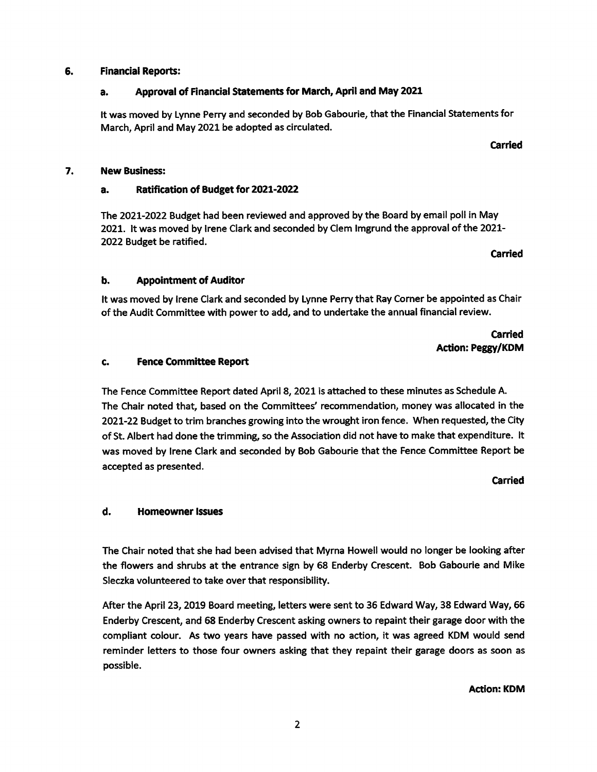#### 6. Financial Reports:

# a. Approval of Financial Statements for March, April and May 2021

it was moved by Lynne Perry and seconded by Bob Gabourie, that the Financial Statements for March, April and May 2021 be adopted as circulated.

#### 7. New Business:

# a. Ratification of Budget for 2021-2022

The 2021-2022 Budget had been reviewed and approved by the Board by email poll in May 2021. It was moved by Irene Clark and seconded by Clem Imgrund the approval of the 2021- 2022 Budget be ratified.

# b. Appointment of Auditor

It was moved by Irene Clark and seconded by Lynne Perry that Ray Corner be appointed as Chair of the Audit Committee with power to add, and to undertake the annual financial review.

# Carried Action: Peggy/KDM

Carried

Carried

#### Fence Committee Report c.

The Fence Committee Report dated April 8, 2021 is attached to these minutes as Schedule A. The Chair noted that, based on the Committees' recommendation, money was allocated in the 2021-22 Budget to trim branches growing into the wrought iron fence. When requested, the City of St. Albert had done the trimming, so the Association did not have to make that expenditure. It was moved by Irene Clark and seconded by Bob Gabourie that the Fence Committee Report be accepted as presented.

### Carried

# d. Homeowner Issues

The Chair noted that she had been advised that Myrna Howell would no longer be looking after the flowers and shrubs at the entrance sign by 68 Enderby Crescent. Bob Gabourie and Mike Sleczka volunteered to take over that responsibility.

After the April 23, 2019 Board meeting, letters were sent to 36 Edward Way, 38 Edward Way, 66 Enderby Crescent, and 68 Enderby Crescent asking owners to repaint their garage door with the compliant colour. As two years have passed with no action, it was agreed KDM would send reminder letters to those four owners asking that they repaint their garage doors as soon as possible.

Action: KDM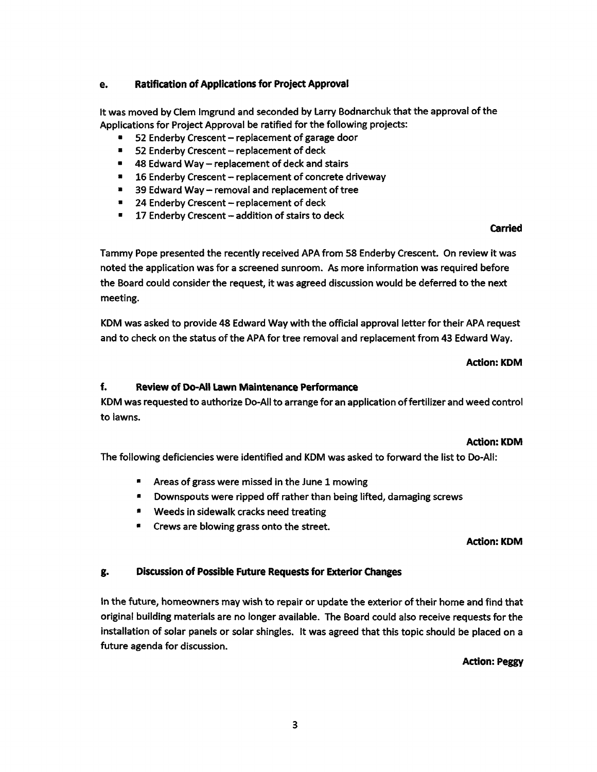# e. Ratification of Applications for Project Approval

it was moved by Clem Imgrund and seconded by Larry Bodnarchuk that the approval of the Applications for Project Approval be ratified for the following projects:

- 52 Enderby Crescent replacement of garage door
- $\blacksquare$ 52 Enderby Crescent - replacement of deck
- $\blacksquare$  48 Edward Way replacement of deck and stairs
- **16 Enderby Crescent replacement of concrete driveway**
- $\blacksquare$ 39 Edward Way  $-$  removal and replacement of tree
- $= 24$  Enderby Crescent replacement of deck
- $\blacksquare$  17 Enderby Crescent addition of stairs to deck

# Carried

Tammy Pope presented the recently received APA from 58 Enderby Crescent. On review it was noted the application was for a screened sunroom. As more information was required before the Board could consider the request, it was agreed discussion would be deferred to the next meeting.

KDM was asked to provide 48 Edward Way with the official approval letter for their APA request and to check on the status of the APA for tree removal and replacement from 43 Edward Way.

### Action: KDM

# f. Review of Do-All Lawn Maintenance Performance

KDM was requested to authorize Do-All to arrange for an application offertilizer and weed control to lawns.

### Action: KDM

The following deficiencies were identified and KDM was asked to forward the list to Do-All:

- \* Areas of grass were missed in the June 1 mowing
- **E** Downspouts were ripped off rather than being lifted, damaging screws
- **\*** Weeds in sidewalk cracks need treating
- **E** Crews are blowing grass onto the street.

### Action: KDM

# g. Discussion of Possible Future Requests for Exterior Changes

in the future, homeowners may wish to repair or update the exterior of their home and find that original building materials are no longer available. The Board could also receive requests for the installation of solar panels or solar shingles. It was agreed that this topic should be placed on future agenda for discussion.

### Action: Peggy